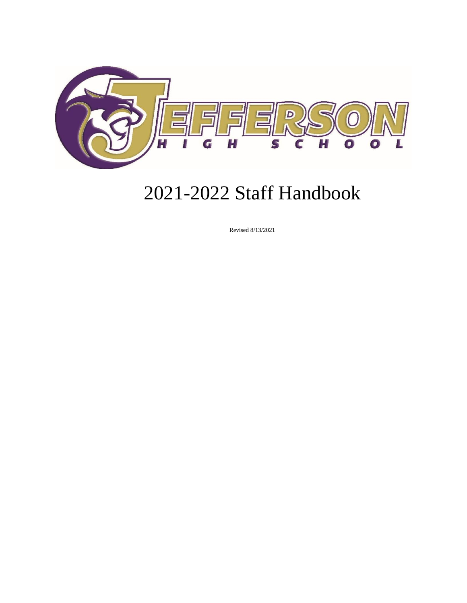

# 2021-2022 Staff Handbook

Revised 8/13/2021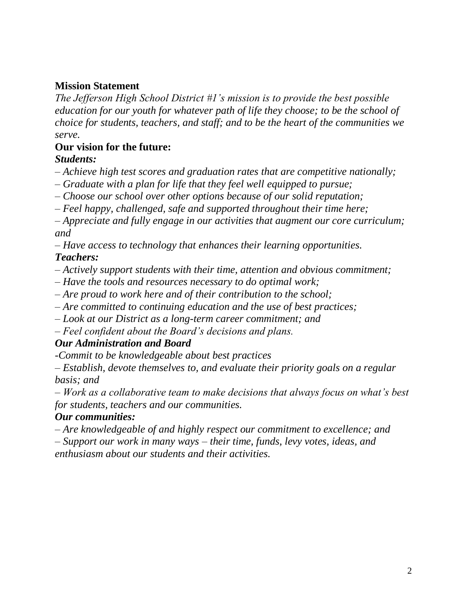# **Mission Statement**

*The Jefferson High School District #1's mission is to provide the best possible education for our youth for whatever path of life they choose; to be the school of choice for students, teachers, and staff; and to be the heart of the communities we serve.*

# **Our vision for the future:**

# *Students:*

- *– Achieve high test scores and graduation rates that are competitive nationally;*
- *– Graduate with a plan for life that they feel well equipped to pursue;*
- *– Choose our school over other options because of our solid reputation;*
- *– Feel happy, challenged, safe and supported throughout their time here;*

*– Appreciate and fully engage in our activities that augment our core curriculum; and*

*– Have access to technology that enhances their learning opportunities.*

# *Teachers:*

*– Actively support students with their time, attention and obvious commitment;*

- *– Have the tools and resources necessary to do optimal work;*
- *– Are proud to work here and of their contribution to the school;*
- *– Are committed to continuing education and the use of best practices;*
- *– Look at our District as a long-term career commitment; and*
- *– Feel confident about the Board's decisions and plans.*

# *Our Administration and Board*

*-Commit to be knowledgeable about best practices*

*– Establish, devote themselves to, and evaluate their priority goals on a regular basis; and*

*– Work as a collaborative team to make decisions that always focus on what's best for students, teachers and our communities.*

# *Our communities:*

*– Are knowledgeable of and highly respect our commitment to excellence; and – Support our work in many ways – their time, funds, levy votes, ideas, and enthusiasm about our students and their activities.*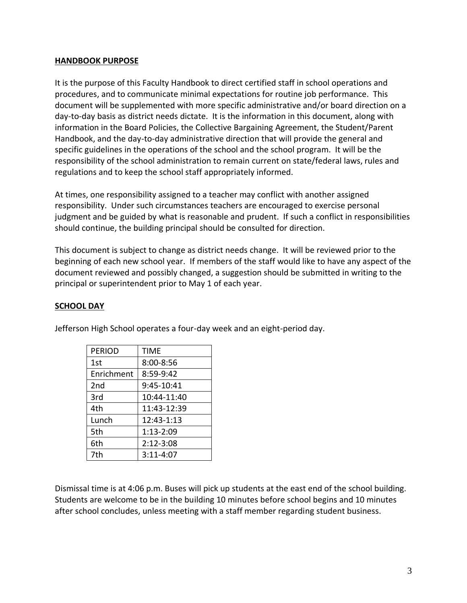#### **HANDBOOK PURPOSE**

It is the purpose of this Faculty Handbook to direct certified staff in school operations and procedures, and to communicate minimal expectations for routine job performance. This document will be supplemented with more specific administrative and/or board direction on a day-to-day basis as district needs dictate. It is the information in this document, along with information in the Board Policies, the Collective Bargaining Agreement, the Student/Parent Handbook, and the day-to-day administrative direction that will provide the general and specific guidelines in the operations of the school and the school program. It will be the responsibility of the school administration to remain current on state/federal laws, rules and regulations and to keep the school staff appropriately informed.

At times, one responsibility assigned to a teacher may conflict with another assigned responsibility. Under such circumstances teachers are encouraged to exercise personal judgment and be guided by what is reasonable and prudent. If such a conflict in responsibilities should continue, the building principal should be consulted for direction.

This document is subject to change as district needs change. It will be reviewed prior to the beginning of each new school year. If members of the staff would like to have any aspect of the document reviewed and possibly changed, a suggestion should be submitted in writing to the principal or superintendent prior to May 1 of each year.

# **SCHOOL DAY**

| <b>PERIOD</b>   | <b>TIME</b>   |
|-----------------|---------------|
| 1st             | 8:00-8:56     |
| Enrichment      | 8:59-9:42     |
| 2 <sub>nd</sub> | 9:45-10:41    |
| 3rd             | 10:44-11:40   |
| 4th             | 11:43-12:39   |
| Lunch           | 12:43-1:13    |
| 5th             | 1:13-2:09     |
| 6th             | $2:12 - 3:08$ |
| 7th             | $3:11 - 4:07$ |

Jefferson High School operates a four-day week and an eight-period day.

Dismissal time is at 4:06 p.m. Buses will pick up students at the east end of the school building. Students are welcome to be in the building 10 minutes before school begins and 10 minutes after school concludes, unless meeting with a staff member regarding student business.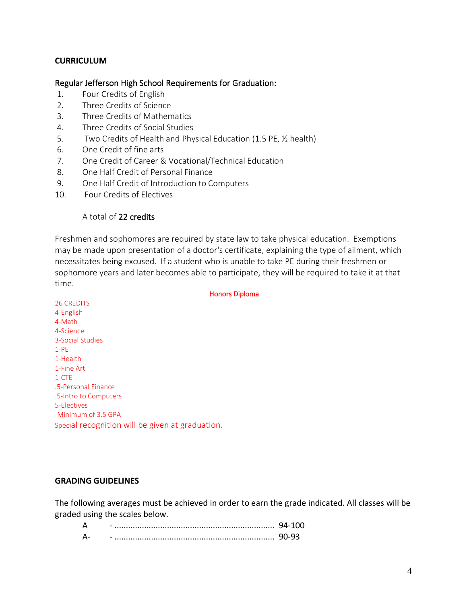#### **CURRICULUM**

#### Regular Jefferson High School Requirements for Graduation:

- 1. Four Credits of English
- 2. Three Credits of Science
- 3. Three Credits of Mathematics
- 4. Three Credits of Social Studies
- 5. Two Credits of Health and Physical Education (1.5 PE, ½ health)
- 6. One Credit of fine arts
- 7. One Credit of Career & Vocational/Technical Education
- 8. One Half Credit of Personal Finance
- 9. One Half Credit of Introduction to Computers
- 10. Four Credits of Electives

#### A total of 22 credits

Freshmen and sophomores are required by state law to take physical education. Exemptions may be made upon presentation of a doctor's certificate, explaining the type of ailment, which necessitates being excused. If a student who is unable to take PE during their freshmen or sophomore years and later becomes able to participate, they will be required to take it at that time.

#### Honors Diploma

26 CREDITS 4-English 4-Math 4-Science 3-Social Studies 1-PE 1-Health 1-Fine Art 1-CTE .5-Personal Finance .5-Intro to Computers 5-Electives -Minimum of 3.5 GPA Special recognition will be given at graduation.

#### **GRADING GUIDELINES**

The following averages must be achieved in order to earn the grade indicated. All classes will be graded using the scales below.

| А | $\overline{\phantom{a}}$ |  |
|---|--------------------------|--|
| А | $\overline{\phantom{a}}$ |  |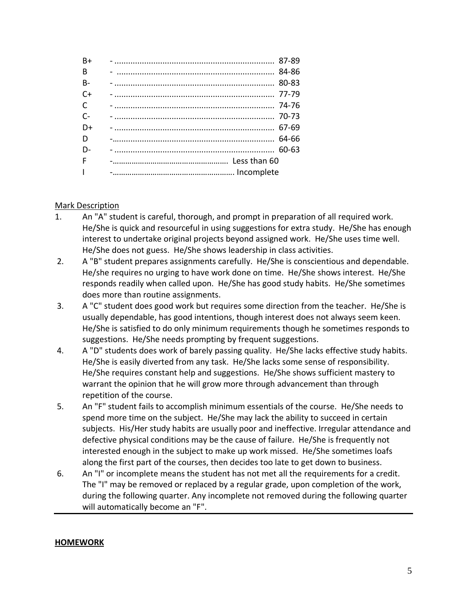| $B+$           |  |
|----------------|--|
| B              |  |
| $B -$          |  |
| $C+$           |  |
| $\mathsf{C}$   |  |
| $C-$           |  |
| $D+$           |  |
| D              |  |
| $D$ -          |  |
| F              |  |
| $\overline{1}$ |  |

#### Mark Description

- 1. An "A" student is careful, thorough, and prompt in preparation of all required work. He/She is quick and resourceful in using suggestions for extra study. He/She has enough interest to undertake original projects beyond assigned work. He/She uses time well. He/She does not guess. He/She shows leadership in class activities.
- 2. A "B" student prepares assignments carefully. He/She is conscientious and dependable. He/she requires no urging to have work done on time. He/She shows interest. He/She responds readily when called upon. He/She has good study habits. He/She sometimes does more than routine assignments.
- 3. A "C" student does good work but requires some direction from the teacher. He/She is usually dependable, has good intentions, though interest does not always seem keen. He/She is satisfied to do only minimum requirements though he sometimes responds to suggestions. He/She needs prompting by frequent suggestions.
- 4. A "D" students does work of barely passing quality. He/She lacks effective study habits. He/She is easily diverted from any task. He/She lacks some sense of responsibility. He/She requires constant help and suggestions. He/She shows sufficient mastery to warrant the opinion that he will grow more through advancement than through repetition of the course.
- 5. An "F" student fails to accomplish minimum essentials of the course. He/She needs to spend more time on the subject. He/She may lack the ability to succeed in certain subjects. His/Her study habits are usually poor and ineffective. Irregular attendance and defective physical conditions may be the cause of failure. He/She is frequently not interested enough in the subject to make up work missed. He/She sometimes loafs along the first part of the courses, then decides too late to get down to business.
- 6. An "I" or incomplete means the student has not met all the requirements for a credit. The "I" may be removed or replaced by a regular grade, upon completion of the work, during the following quarter. Any incomplete not removed during the following quarter will automatically become an "F".

#### **HOMEWORK**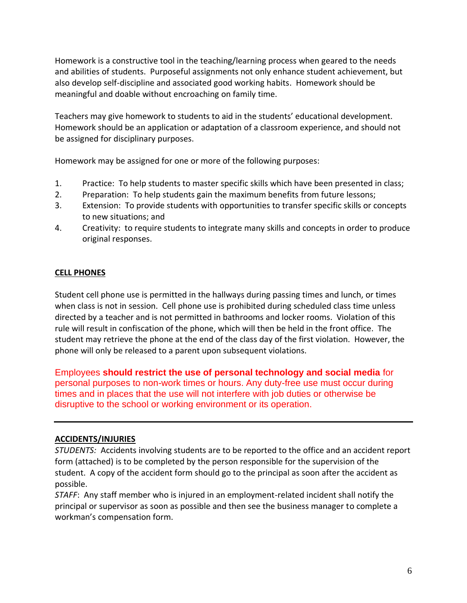Homework is a constructive tool in the teaching/learning process when geared to the needs and abilities of students. Purposeful assignments not only enhance student achievement, but also develop self-discipline and associated good working habits. Homework should be meaningful and doable without encroaching on family time.

Teachers may give homework to students to aid in the students' educational development. Homework should be an application or adaptation of a classroom experience, and should not be assigned for disciplinary purposes.

Homework may be assigned for one or more of the following purposes:

- 1. Practice: To help students to master specific skills which have been presented in class;
- 2. Preparation: To help students gain the maximum benefits from future lessons;
- 3. Extension: To provide students with opportunities to transfer specific skills or concepts to new situations; and
- 4. Creativity: to require students to integrate many skills and concepts in order to produce original responses.

# **CELL PHONES**

Student cell phone use is permitted in the hallways during passing times and lunch, or times when class is not in session. Cell phone use is prohibited during scheduled class time unless directed by a teacher and is not permitted in bathrooms and locker rooms. Violation of this rule will result in confiscation of the phone, which will then be held in the front office. The student may retrieve the phone at the end of the class day of the first violation. However, the phone will only be released to a parent upon subsequent violations.

Employees **should restrict the use of personal technology and social media** for personal purposes to non-work times or hours. Any duty-free use must occur during times and in places that the use will not interfere with job duties or otherwise be disruptive to the school or working environment or its operation.

#### **ACCIDENTS/INJURIES**

*STUDENTS:* Accidents involving students are to be reported to the office and an accident report form (attached) is to be completed by the person responsible for the supervision of the student. A copy of the accident form should go to the principal as soon after the accident as possible.

*STAFF*: Any staff member who is injured in an employment-related incident shall notify the principal or supervisor as soon as possible and then see the business manager to complete a workman's compensation form.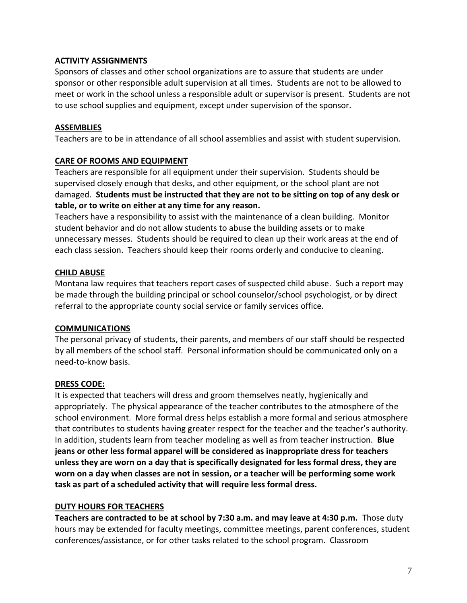# **ACTIVITY ASSIGNMENTS**

Sponsors of classes and other school organizations are to assure that students are under sponsor or other responsible adult supervision at all times. Students are not to be allowed to meet or work in the school unless a responsible adult or supervisor is present. Students are not to use school supplies and equipment, except under supervision of the sponsor.

# **ASSEMBLIES**

Teachers are to be in attendance of all school assemblies and assist with student supervision.

# **CARE OF ROOMS AND EQUIPMENT**

Teachers are responsible for all equipment under their supervision. Students should be supervised closely enough that desks, and other equipment, or the school plant are not damaged. **Students must be instructed that they are not to be sitting on top of any desk or table, or to write on either at any time for any reason.**

Teachers have a responsibility to assist with the maintenance of a clean building. Monitor student behavior and do not allow students to abuse the building assets or to make unnecessary messes. Students should be required to clean up their work areas at the end of each class session. Teachers should keep their rooms orderly and conducive to cleaning.

# **CHILD ABUSE**

Montana law requires that teachers report cases of suspected child abuse. Such a report may be made through the building principal or school counselor/school psychologist, or by direct referral to the appropriate county social service or family services office.

# **COMMUNICATIONS**

The personal privacy of students, their parents, and members of our staff should be respected by all members of the school staff. Personal information should be communicated only on a need-to-know basis.

# **DRESS CODE:**

It is expected that teachers will dress and groom themselves neatly, hygienically and appropriately. The physical appearance of the teacher contributes to the atmosphere of the school environment. More formal dress helps establish a more formal and serious atmosphere that contributes to students having greater respect for the teacher and the teacher's authority. In addition, students learn from teacher modeling as well as from teacher instruction. **Blue jeans or other less formal apparel will be considered as inappropriate dress for teachers unless they are worn on a day that is specifically designated for less formal dress, they are worn on a day when classes are not in session, or a teacher will be performing some work task as part of a scheduled activity that will require less formal dress.**

# **DUTY HOURS FOR TEACHERS**

**Teachers are contracted to be at school by 7:30 a.m. and may leave at 4:30 p.m.** Those duty hours may be extended for faculty meetings, committee meetings, parent conferences, student conferences/assistance, or for other tasks related to the school program. Classroom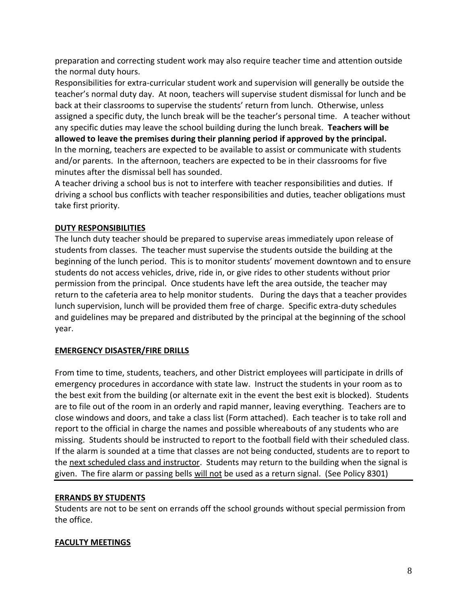preparation and correcting student work may also require teacher time and attention outside the normal duty hours.

Responsibilities for extra-curricular student work and supervision will generally be outside the teacher's normal duty day. At noon, teachers will supervise student dismissal for lunch and be back at their classrooms to supervise the students' return from lunch. Otherwise, unless assigned a specific duty, the lunch break will be the teacher's personal time. A teacher without any specific duties may leave the school building during the lunch break. **Teachers will be allowed to leave the premises during their planning period if approved by the principal.** In the morning, teachers are expected to be available to assist or communicate with students and/or parents. In the afternoon, teachers are expected to be in their classrooms for five minutes after the dismissal bell has sounded.

A teacher driving a school bus is not to interfere with teacher responsibilities and duties. If driving a school bus conflicts with teacher responsibilities and duties, teacher obligations must take first priority.

# **DUTY RESPONSIBILITIES**

The lunch duty teacher should be prepared to supervise areas immediately upon release of students from classes. The teacher must supervise the students outside the building at the beginning of the lunch period. This is to monitor students' movement downtown and to ensure students do not access vehicles, drive, ride in, or give rides to other students without prior permission from the principal. Once students have left the area outside, the teacher may return to the cafeteria area to help monitor students. During the days that a teacher provides lunch supervision, lunch will be provided them free of charge. Specific extra-duty schedules and guidelines may be prepared and distributed by the principal at the beginning of the school year.

# **EMERGENCY DISASTER/FIRE DRILLS**

From time to time, students, teachers, and other District employees will participate in drills of emergency procedures in accordance with state law. Instruct the students in your room as to the best exit from the building (or alternate exit in the event the best exit is blocked). Students are to file out of the room in an orderly and rapid manner, leaving everything. Teachers are to close windows and doors, and take a class list (Form attached). Each teacher is to take roll and report to the official in charge the names and possible whereabouts of any students who are missing. Students should be instructed to report to the football field with their scheduled class. If the alarm is sounded at a time that classes are not being conducted, students are to report to the next scheduled class and instructor. Students may return to the building when the signal is given. The fire alarm or passing bells will not be used as a return signal. (See Policy 8301)

# **ERRANDS BY STUDENTS**

Students are not to be sent on errands off the school grounds without special permission from the office.

# **FACULTY MEETINGS**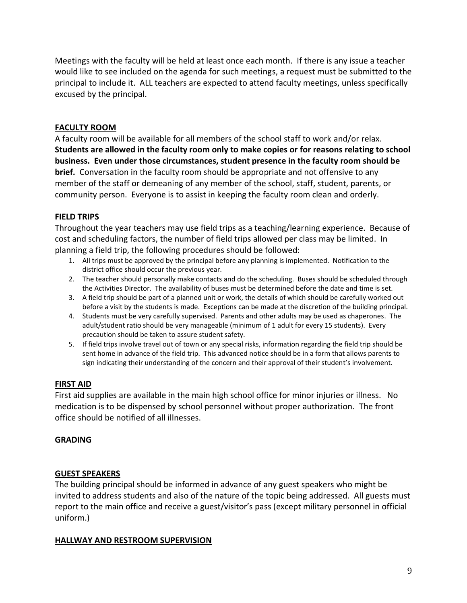Meetings with the faculty will be held at least once each month. If there is any issue a teacher would like to see included on the agenda for such meetings, a request must be submitted to the principal to include it. ALL teachers are expected to attend faculty meetings, unless specifically excused by the principal.

#### **FACULTY ROOM**

A faculty room will be available for all members of the school staff to work and/or relax. **Students are allowed in the faculty room only to make copies or for reasons relating to school business. Even under those circumstances, student presence in the faculty room should be brief.** Conversation in the faculty room should be appropriate and not offensive to any member of the staff or demeaning of any member of the school, staff, student, parents, or community person. Everyone is to assist in keeping the faculty room clean and orderly.

#### **FIELD TRIPS**

Throughout the year teachers may use field trips as a teaching/learning experience. Because of cost and scheduling factors, the number of field trips allowed per class may be limited. In planning a field trip, the following procedures should be followed:

- 1. All trips must be approved by the principal before any planning is implemented. Notification to the district office should occur the previous year.
- 2. The teacher should personally make contacts and do the scheduling. Buses should be scheduled through the Activities Director. The availability of buses must be determined before the date and time is set.
- 3. A field trip should be part of a planned unit or work, the details of which should be carefully worked out before a visit by the students is made. Exceptions can be made at the discretion of the building principal.
- 4. Students must be very carefully supervised. Parents and other adults may be used as chaperones. The adult/student ratio should be very manageable (minimum of 1 adult for every 15 students). Every precaution should be taken to assure student safety.
- 5. If field trips involve travel out of town or any special risks, information regarding the field trip should be sent home in advance of the field trip. This advanced notice should be in a form that allows parents to sign indicating their understanding of the concern and their approval of their student's involvement.

#### **FIRST AID**

First aid supplies are available in the main high school office for minor injuries or illness. No medication is to be dispensed by school personnel without proper authorization. The front office should be notified of all illnesses.

#### **GRADING**

# **GUEST SPEAKERS**

The building principal should be informed in advance of any guest speakers who might be invited to address students and also of the nature of the topic being addressed. All guests must report to the main office and receive a guest/visitor's pass (except military personnel in official uniform.)

#### **HALLWAY AND RESTROOM SUPERVISION**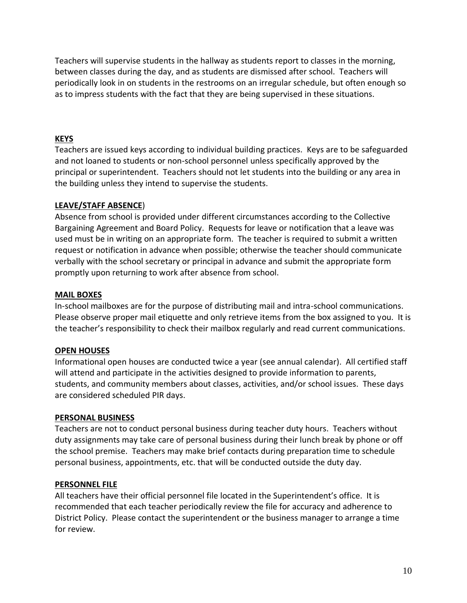Teachers will supervise students in the hallway as students report to classes in the morning, between classes during the day, and as students are dismissed after school. Teachers will periodically look in on students in the restrooms on an irregular schedule, but often enough so as to impress students with the fact that they are being supervised in these situations.

# **KEYS**

Teachers are issued keys according to individual building practices. Keys are to be safeguarded and not loaned to students or non-school personnel unless specifically approved by the principal or superintendent. Teachers should not let students into the building or any area in the building unless they intend to supervise the students.

# **LEAVE/STAFF ABSENCE**)

Absence from school is provided under different circumstances according to the Collective Bargaining Agreement and Board Policy. Requests for leave or notification that a leave was used must be in writing on an appropriate form. The teacher is required to submit a written request or notification in advance when possible; otherwise the teacher should communicate verbally with the school secretary or principal in advance and submit the appropriate form promptly upon returning to work after absence from school.

#### **MAIL BOXES**

In-school mailboxes are for the purpose of distributing mail and intra-school communications. Please observe proper mail etiquette and only retrieve items from the box assigned to you. It is the teacher's responsibility to check their mailbox regularly and read current communications.

# **OPEN HOUSES**

Informational open houses are conducted twice a year (see annual calendar). All certified staff will attend and participate in the activities designed to provide information to parents, students, and community members about classes, activities, and/or school issues. These days are considered scheduled PIR days.

#### **PERSONAL BUSINESS**

Teachers are not to conduct personal business during teacher duty hours. Teachers without duty assignments may take care of personal business during their lunch break by phone or off the school premise. Teachers may make brief contacts during preparation time to schedule personal business, appointments, etc. that will be conducted outside the duty day.

#### **PERSONNEL FILE**

All teachers have their official personnel file located in the Superintendent's office. It is recommended that each teacher periodically review the file for accuracy and adherence to District Policy. Please contact the superintendent or the business manager to arrange a time for review.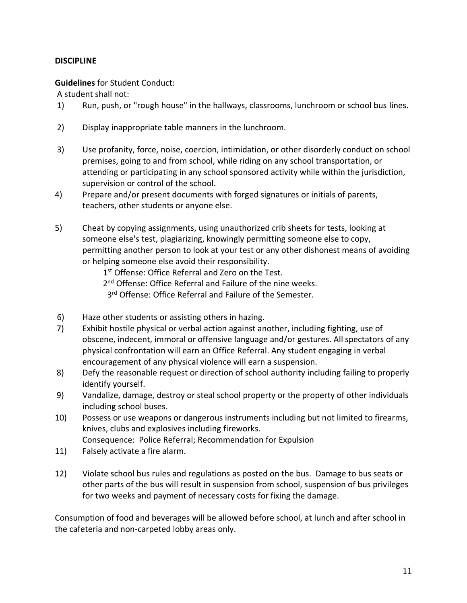# **DISCIPLINE**

# **Guidelines** for Student Conduct:

A student shall not:

- 1) Run, push, or "rough house" in the hallways, classrooms, lunchroom or school bus lines.
- 2) Display inappropriate table manners in the lunchroom.
- 3) Use profanity, force, noise, coercion, intimidation, or other disorderly conduct on school premises, going to and from school, while riding on any school transportation, or attending or participating in any school sponsored activity while within the jurisdiction, supervision or control of the school.
- 4) Prepare and/or present documents with forged signatures or initials of parents, teachers, other students or anyone else.
- 5) Cheat by copying assignments, using unauthorized crib sheets for tests, looking at someone else's test, plagiarizing, knowingly permitting someone else to copy, permitting another person to look at your test or any other dishonest means of avoiding or helping someone else avoid their responsibility.
	- 1<sup>st</sup> Offense: Office Referral and Zero on the Test.
	- 2<sup>nd</sup> Offense: Office Referral and Failure of the nine weeks.
	- 3<sup>rd</sup> Offense: Office Referral and Failure of the Semester.
- 6) Haze other students or assisting others in hazing.
- 7) Exhibit hostile physical or verbal action against another, including fighting, use of obscene, indecent, immoral or offensive language and/or gestures. All spectators of any physical confrontation will earn an Office Referral. Any student engaging in verbal encouragement of any physical violence will earn a suspension.
- 8) Defy the reasonable request or direction of school authority including failing to properly identify yourself.
- 9) Vandalize, damage, destroy or steal school property or the property of other individuals including school buses.
- 10) Possess or use weapons or dangerous instruments including but not limited to firearms, knives, clubs and explosives including fireworks.
	- Consequence: Police Referral; Recommendation for Expulsion
- 11) Falsely activate a fire alarm.
- 12) Violate school bus rules and regulations as posted on the bus. Damage to bus seats or other parts of the bus will result in suspension from school, suspension of bus privileges for two weeks and payment of necessary costs for fixing the damage.

Consumption of food and beverages will be allowed before school, at lunch and after school in the cafeteria and non-carpeted lobby areas only.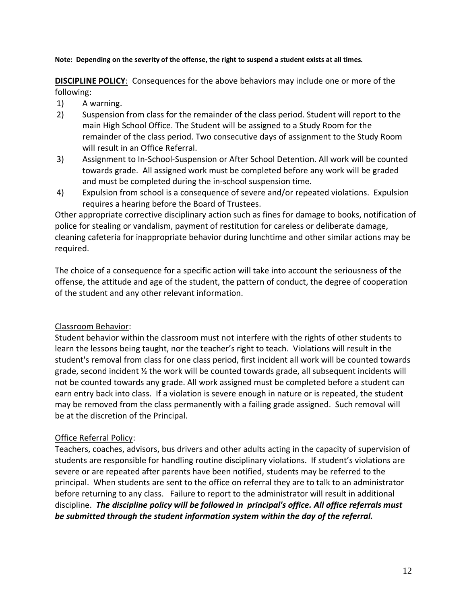**Note: Depending on the severity of the offense, the right to suspend a student exists at all times.** 

**DISCIPLINE POLICY**: Consequences for the above behaviors may include one or more of the following:

- 1) A warning.
- 2) Suspension from class for the remainder of the class period. Student will report to the main High School Office. The Student will be assigned to a Study Room for the remainder of the class period. Two consecutive days of assignment to the Study Room will result in an Office Referral.
- 3) Assignment to In-School-Suspension or After School Detention. All work will be counted towards grade. All assigned work must be completed before any work will be graded and must be completed during the in-school suspension time.
- 4) Expulsion from school is a consequence of severe and/or repeated violations. Expulsion requires a hearing before the Board of Trustees.

Other appropriate corrective disciplinary action such as fines for damage to books, notification of police for stealing or vandalism, payment of restitution for careless or deliberate damage, cleaning cafeteria for inappropriate behavior during lunchtime and other similar actions may be required.

The choice of a consequence for a specific action will take into account the seriousness of the offense, the attitude and age of the student, the pattern of conduct, the degree of cooperation of the student and any other relevant information.

# Classroom Behavior:

Student behavior within the classroom must not interfere with the rights of other students to learn the lessons being taught, nor the teacher's right to teach. Violations will result in the student's removal from class for one class period, first incident all work will be counted towards grade, second incident ½ the work will be counted towards grade, all subsequent incidents will not be counted towards any grade. All work assigned must be completed before a student can earn entry back into class. If a violation is severe enough in nature or is repeated, the student may be removed from the class permanently with a failing grade assigned. Such removal will be at the discretion of the Principal.

# Office Referral Policy:

Teachers, coaches, advisors, bus drivers and other adults acting in the capacity of supervision of students are responsible for handling routine disciplinary violations. If student's violations are severe or are repeated after parents have been notified, students may be referred to the principal. When students are sent to the office on referral they are to talk to an administrator before returning to any class. Failure to report to the administrator will result in additional discipline. *The discipline policy will be followed in principal's office. All office referrals must be submitted through the student information system within the day of the referral.*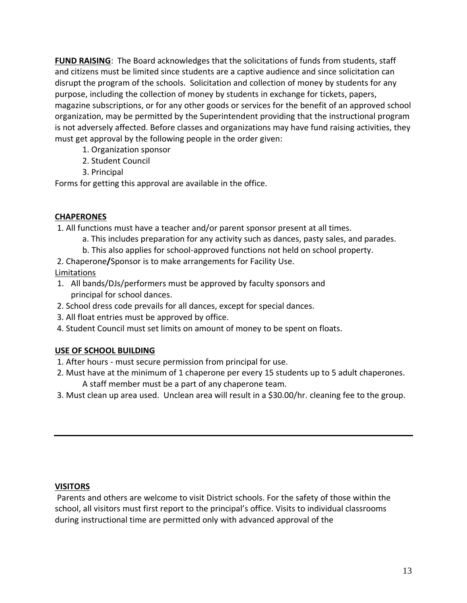**FUND RAISING**: The Board acknowledges that the solicitations of funds from students, staff and citizens must be limited since students are a captive audience and since solicitation can disrupt the program of the schools. Solicitation and collection of money by students for any purpose, including the collection of money by students in exchange for tickets, papers, magazine subscriptions, or for any other goods or services for the benefit of an approved school organization, may be permitted by the Superintendent providing that the instructional program is not adversely affected. Before classes and organizations may have fund raising activities, they must get approval by the following people in the order given:

- 1. Organization sponsor
- 2. Student Council
- 3. Principal

Forms for getting this approval are available in the office.

# **CHAPERONES**

1. All functions must have a teacher and/or parent sponsor present at all times.

- a. This includes preparation for any activity such as dances, pasty sales, and parades.
- b. This also applies for school-approved functions not held on school property.

2. Chaperone**/**Sponsor is to make arrangements for Facility Use. Limitations

- 1. All bands/DJs/performers must be approved by faculty sponsors and principal for school dances.
- 2. School dress code prevails for all dances, except for special dances.
- 3. All float entries must be approved by office.
- 4. Student Council must set limits on amount of money to be spent on floats.

# **USE OF SCHOOL BUILDING**

- 1. After hours must secure permission from principal for use.
- 2. Must have at the minimum of 1 chaperone per every 15 students up to 5 adult chaperones. A staff member must be a part of any chaperone team.
- 3. Must clean up area used. Unclean area will result in a \$30.00/hr. cleaning fee to the group.

#### **VISITORS**

Parents and others are welcome to visit District schools. For the safety of those within the school, all visitors must first report to the principal's office. Visits to individual classrooms during instructional time are permitted only with advanced approval of the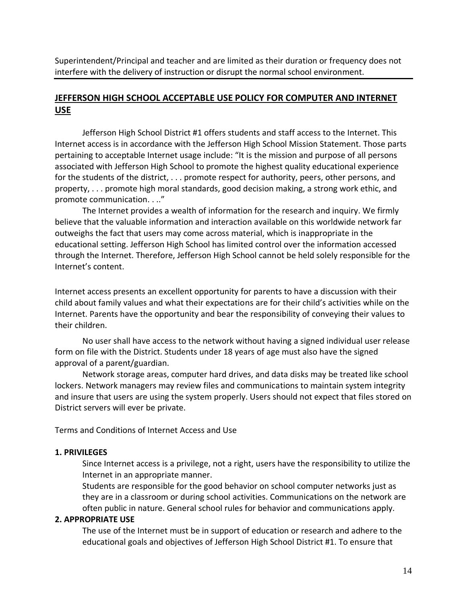Superintendent/Principal and teacher and are limited as their duration or frequency does not interfere with the delivery of instruction or disrupt the normal school environment.

# **JEFFERSON HIGH SCHOOL ACCEPTABLE USE POLICY FOR COMPUTER AND INTERNET USE**

Jefferson High School District #1 offers students and staff access to the Internet. This Internet access is in accordance with the Jefferson High School Mission Statement. Those parts pertaining to acceptable Internet usage include: "It is the mission and purpose of all persons associated with Jefferson High School to promote the highest quality educational experience for the students of the district, . . . promote respect for authority, peers, other persons, and property, . . . promote high moral standards, good decision making, a strong work ethic, and promote communication. . .."

The Internet provides a wealth of information for the research and inquiry. We firmly believe that the valuable information and interaction available on this worldwide network far outweighs the fact that users may come across material, which is inappropriate in the educational setting. Jefferson High School has limited control over the information accessed through the Internet. Therefore, Jefferson High School cannot be held solely responsible for the Internet's content.

Internet access presents an excellent opportunity for parents to have a discussion with their child about family values and what their expectations are for their child's activities while on the Internet. Parents have the opportunity and bear the responsibility of conveying their values to their children.

No user shall have access to the network without having a signed individual user release form on file with the District. Students under 18 years of age must also have the signed approval of a parent/guardian.

Network storage areas, computer hard drives, and data disks may be treated like school lockers. Network managers may review files and communications to maintain system integrity and insure that users are using the system properly. Users should not expect that files stored on District servers will ever be private.

Terms and Conditions of Internet Access and Use

#### **1. PRIVILEGES**

Since Internet access is a privilege, not a right, users have the responsibility to utilize the Internet in an appropriate manner.

Students are responsible for the good behavior on school computer networks just as they are in a classroom or during school activities. Communications on the network are often public in nature. General school rules for behavior and communications apply.

#### **2. APPROPRIATE USE**

The use of the Internet must be in support of education or research and adhere to the educational goals and objectives of Jefferson High School District #1. To ensure that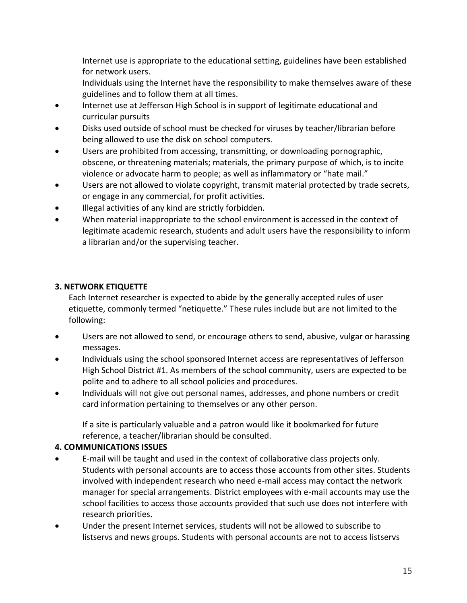Internet use is appropriate to the educational setting, guidelines have been established for network users.

Individuals using the Internet have the responsibility to make themselves aware of these guidelines and to follow them at all times.

- Internet use at Jefferson High School is in support of legitimate educational and curricular pursuits
- Disks used outside of school must be checked for viruses by teacher/librarian before being allowed to use the disk on school computers.
- Users are prohibited from accessing, transmitting, or downloading pornographic, obscene, or threatening materials; materials, the primary purpose of which, is to incite violence or advocate harm to people; as well as inflammatory or "hate mail."
- Users are not allowed to violate copyright, transmit material protected by trade secrets, or engage in any commercial, for profit activities.
- Illegal activities of any kind are strictly forbidden.
- When material inappropriate to the school environment is accessed in the context of legitimate academic research, students and adult users have the responsibility to inform a librarian and/or the supervising teacher.

# **3. NETWORK ETIQUETTE**

Each Internet researcher is expected to abide by the generally accepted rules of user etiquette, commonly termed "netiquette." These rules include but are not limited to the following:

- Users are not allowed to send, or encourage others to send, abusive, vulgar or harassing messages.
- Individuals using the school sponsored Internet access are representatives of Jefferson High School District #1. As members of the school community, users are expected to be polite and to adhere to all school policies and procedures.
- Individuals will not give out personal names, addresses, and phone numbers or credit card information pertaining to themselves or any other person.

If a site is particularly valuable and a patron would like it bookmarked for future reference, a teacher/librarian should be consulted.

# **4. COMMUNICATIONS ISSUES**

- E-mail will be taught and used in the context of collaborative class projects only. Students with personal accounts are to access those accounts from other sites. Students involved with independent research who need e-mail access may contact the network manager for special arrangements. District employees with e-mail accounts may use the school facilities to access those accounts provided that such use does not interfere with research priorities.
- Under the present Internet services, students will not be allowed to subscribe to listservs and news groups. Students with personal accounts are not to access listservs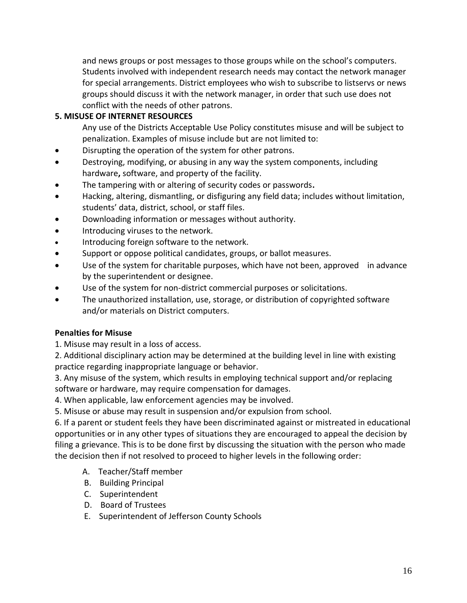and news groups or post messages to those groups while on the school's computers. Students involved with independent research needs may contact the network manager for special arrangements. District employees who wish to subscribe to listservs or news groups should discuss it with the network manager, in order that such use does not conflict with the needs of other patrons.

# **5. MISUSE OF INTERNET RESOURCES**

Any use of the Districts Acceptable Use Policy constitutes misuse and will be subject to penalization. Examples of misuse include but are not limited to:

- Disrupting the operation of the system for other patrons.
- Destroying, modifying, or abusing in any way the system components, including hardware**,** software, and property of the facility.
- The tampering with or altering of security codes or passwords**.**
- Hacking, altering, dismantling, or disfiguring any field data; includes without limitation, students' data, district, school, or staff files.
- Downloading information or messages without authority.
- Introducing viruses to the network.
- Introducing foreign software to the network.
- Support or oppose political candidates, groups, or ballot measures.
- Use of the system for charitable purposes, which have not been, approved in advance by the superintendent or designee.
- Use of the system for non-district commercial purposes or solicitations.
- The unauthorized installation, use, storage, or distribution of copyrighted software and/or materials on District computers.

# **Penalties for Misuse**

1. Misuse may result in a loss of access.

2. Additional disciplinary action may be determined at the building level in line with existing practice regarding inappropriate language or behavior.

3. Any misuse of the system, which results in employing technical support and/or replacing software or hardware, may require compensation for damages.

4. When applicable, law enforcement agencies may be involved.

5. Misuse or abuse may result in suspension and/or expulsion from school.

6. If a parent or student feels they have been discriminated against or mistreated in educational opportunities or in any other types of situations they are encouraged to appeal the decision by filing a grievance. This is to be done first by discussing the situation with the person who made the decision then if not resolved to proceed to higher levels in the following order:

- A. Teacher/Staff member
- B. Building Principal
- C. Superintendent
- D. Board of Trustees
- E. Superintendent of Jefferson County Schools